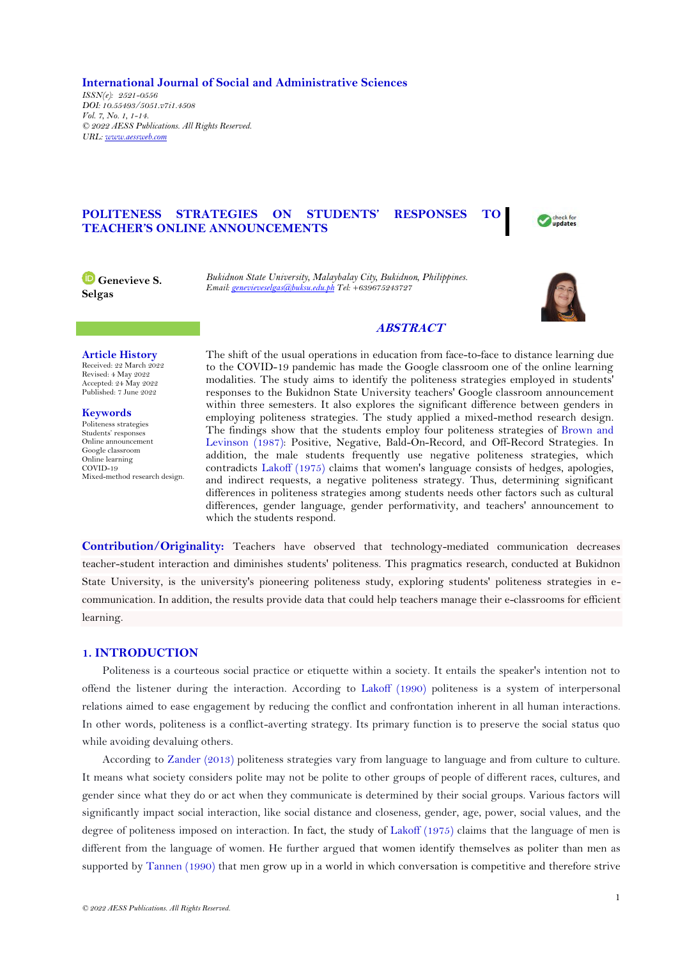**International Journal of Social and Administrative Sciences** *ISSN(e): 2521-0556 DOI: 10.55493/5051.v7i1.4508 Vol. 7, No. 1, 1-14. © 2022 AESS Publications. All Rights Reserved. URL: www.aessweb.com*

# **POLITENESS STRATEGIES ON STUDENTS' RESPONSES TO TEACHER'S ONLINE ANNOUNCEMENTS**



**Genevieve S. Selgas**

*Bukidnon State University, Malaybalay City, Bukidnon, Philippines. Email[: genevieveselgas@buksu.edu.ph](mailto:genevieveselgas@buksu.edu.ph) Tel: +639675243727*



## **ABSTRACT**

## **Article History**

Received: 22 March 2022 Revised: 4 May 2022 Accepted: 24 May 2022 Published: 7 June 2022

**Keywords** Politeness strategies Students' responses Online announcement Google classroom Online learning COVID-19 Mixed-method research design. The shift of the usual operations in education from face-to-face to distance learning due to the COVID-19 pandemic has made the Google classroom one of the online learning modalities. The study aims to identify the politeness strategies employed in students' responses to the Bukidnon State University teachers' Google classroom announcement within three semesters. It also explores the significant difference between genders in employing politeness strategies. The study applied a mixed-method research design. The findings show that the students employ four politeness strategies of [Brown and](#page-12-0)  [Levinson \(1987\)](#page-12-0): Positive, Negative, Bald-On-Record, and Off-Record Strategies. In addition, the male students frequently use negative politeness strategies, which contradicts [Lakoff \(1975\)](#page-12-1) claims that women's language consists of hedges, apologies, and indirect requests, a negative politeness strategy. Thus, determining significant differences in politeness strategies among students needs other factors such as cultural differences, gender language, gender performativity, and teachers' announcement to which the students respond.

**Contribution/Originality:** Teachers have observed that technology-mediated communication decreases teacher-student interaction and diminishes students' politeness. This pragmatics research, conducted at Bukidnon State University, is the university's pioneering politeness study, exploring students' politeness strategies in ecommunication. In addition, the results provide data that could help teachers manage their e-classrooms for efficient learning.

## **1. INTRODUCTION**

Politeness is a courteous social practice or etiquette within a society. It entails the speaker's intention not to offend the listener during the interaction. According to [Lakoff \(1990\)](#page-12-2) politeness is a system of interpersonal relations aimed to ease engagement by reducing the conflict and confrontation inherent in all human interactions. In other words, politeness is a conflict-averting strategy. Its primary function is to preserve the social status quo while avoiding devaluing others.

According to [Zander \(2013\)](#page-13-0) politeness strategies vary from language to language and from culture to culture. It means what society considers polite may not be polite to other groups of people of different races, cultures, and gender since what they do or act when they communicate is determined by their social groups. Various factors will significantly impact social interaction, like social distance and closeness, gender, age, power, social values, and the degree of politeness imposed on interaction. In fact, the study of [Lakoff \(1975\)](#page-12-1) claims that the language of men is different from the language of women. He further argued that women identify themselves as politer than men as supported by [Tannen \(1990\)](#page-13-1) that men grow up in a world in which conversation is competitive and therefore strive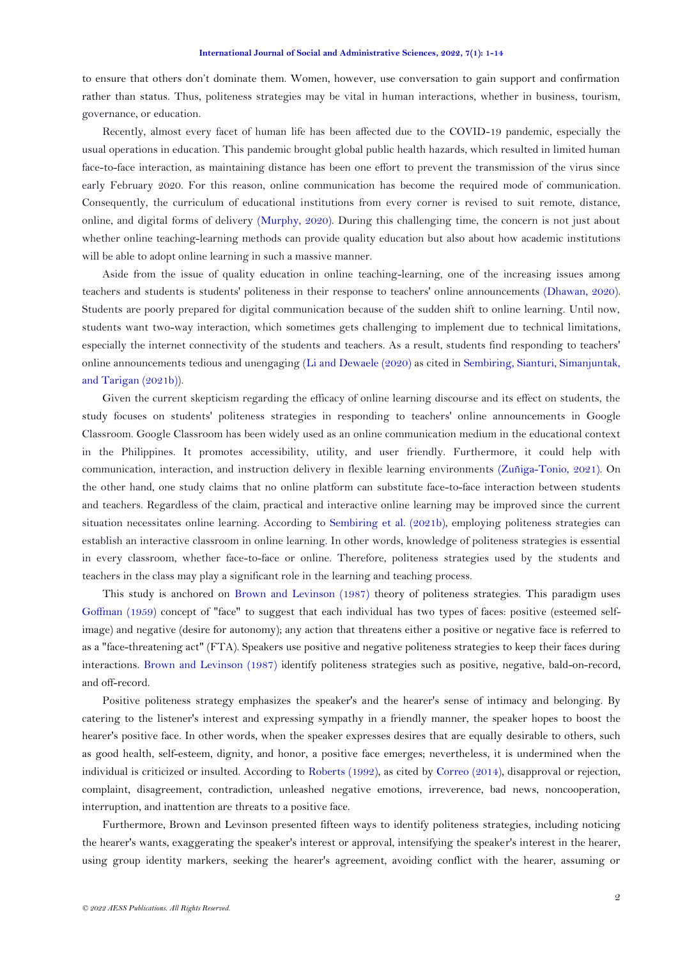to ensure that others don't dominate them. Women, however, use conversation to gain support and confirmation rather than status. Thus, politeness strategies may be vital in human interactions, whether in business, tourism, governance, or education.

Recently, almost every facet of human life has been affected due to the COVID-19 pandemic, especially the usual operations in education. This pandemic brought global public health hazards, which resulted in limited human face-to-face interaction, as maintaining distance has been one effort to prevent the transmission of the virus since early February 2020. For this reason, online communication has become the required mode of communication. Consequently, the curriculum of educational institutions from every corner is revised to suit remote, distance, online, and digital forms of delivery [\(Murphy, 2020\)](#page-12-3). During this challenging time, the concern is not just about whether online teaching-learning methods can provide quality education but also about how academic institutions will be able to adopt online learning in such a massive manner.

Aside from the issue of quality education in online teaching-learning, one of the increasing issues among teachers and students is students' politeness in their response to teachers' online announcements [\(Dhawan, 2020\)](#page-12-4). Students are poorly prepared for digital communication because of the sudden shift to online learning. Until now, students want two-way interaction, which sometimes gets challenging to implement due to technical limitations, especially the internet connectivity of the students and teachers. As a result, students find responding to teachers' online announcements tedious and unengaging [\(Li and Dewaele \(2020\)](#page-12-5) as cited in [Sembiring, Sianturi, Simanjuntak,](#page-13-2)  [and Tarigan \(2021b\)](#page-13-2)).

Given the current skepticism regarding the efficacy of online learning discourse and its effect on students, the study focuses on students' politeness strategies in responding to teachers' online announcements in Google Classroom. Google Classroom has been widely used as an online communication medium in the educational context in the Philippines. It promotes accessibility, utility, and user friendly. Furthermore, it could help with communication, interaction, and instruction delivery in flexible learning environments [\(Zuñiga-Tonio, 2021\)](#page-13-3). On the other hand, one study claims that no online platform can substitute face-to-face interaction between students and teachers. Regardless of the claim, practical and interactive online learning may be improved since the current situation necessitates online learning. According to Sembiring [et al. \(2021b\)](#page-13-2), employing politeness strategies can establish an interactive classroom in online learning. In other words, knowledge of politeness strategies is essential in every classroom, whether face-to-face or online. Therefore, politeness strategies used by the students and teachers in the class may play a significant role in the learning and teaching process.

This study is anchored on [Brown and Levinson \(1987\)](#page-12-0) theory of politeness strategies. This paradigm uses [Goffman \(1959\)](#page-12-6) concept of "face" to suggest that each individual has two types of faces: positive (esteemed selfimage) and negative (desire for autonomy); any action that threatens either a positive or negative face is referred to as a "face-threatening act" (FTA). Speakers use positive and negative politeness strategies to keep their faces during interactions. [Brown and Levinson \(1987\)](#page-12-0) identify politeness strategies such as positive, negative, bald-on-record, and off-record.

Positive politeness strategy emphasizes the speaker's and the hearer's sense of intimacy and belonging. By catering to the listener's interest and expressing sympathy in a friendly manner, the speaker hopes to boost the hearer's positive face. In other words, when the speaker expresses desires that are equally desirable to others, such as good health, self-esteem, dignity, and honor, a positive face emerges; nevertheless, it is undermined when the individual is criticized or insulted. According to [Roberts \(1992\)](#page-12-7), as cited by [Correo \(2014\)](#page-12-8), disapproval or rejection, complaint, disagreement, contradiction, unleashed negative emotions, irreverence, bad news, noncooperation, interruption, and inattention are threats to a positive face.

Furthermore, Brown and Levinson presented fifteen ways to identify politeness strategies, including noticing the hearer's wants, exaggerating the speaker's interest or approval, intensifying the speaker's interest in the hearer, using group identity markers, seeking the hearer's agreement, avoiding conflict with the hearer, assuming or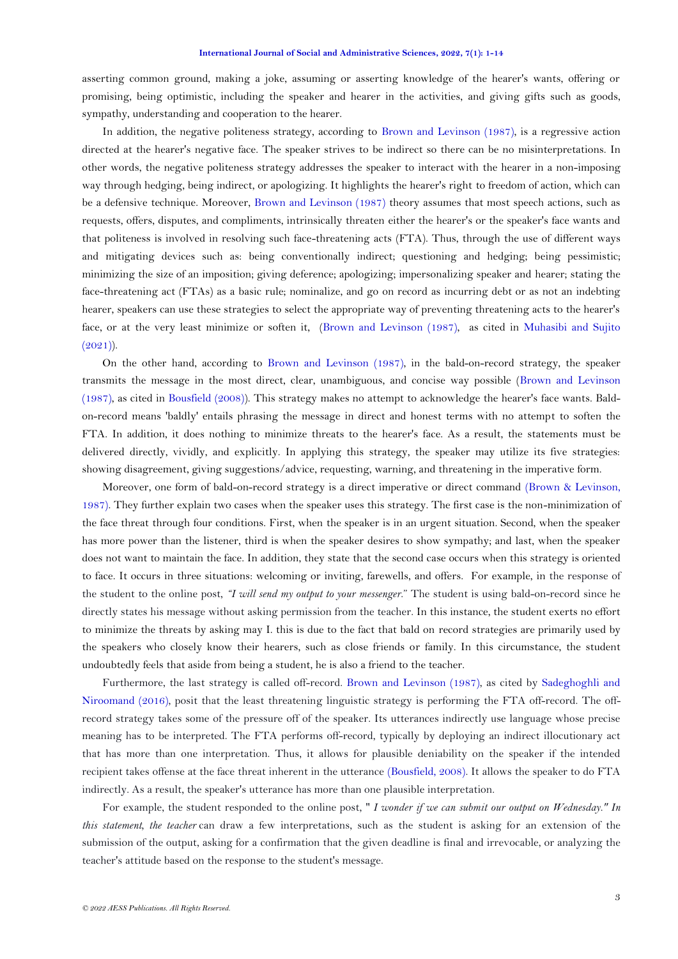asserting common ground, making a joke, assuming or asserting knowledge of the hearer's wants, offering or promising, being optimistic, including the speaker and hearer in the activities, and giving gifts such as goods, sympathy, understanding and cooperation to the hearer.

In addition, the negative politeness strategy, according to [Brown and Levinson \(1987\)](#page-12-0), is a regressive action directed at the hearer's negative face. The speaker strives to be indirect so there can be no misinterpretations. In other words, the negative politeness strategy addresses the speaker to interact with the hearer in a non-imposing way through hedging, being indirect, or apologizing. It highlights the hearer's right to freedom of action, which can be a defensive technique. Moreover, [Brown and Levinson \(1987\)](#page-12-0) theory assumes that most speech actions, such as requests, offers, disputes, and compliments, intrinsically threaten either the hearer's or the speaker's face wants and that politeness is involved in resolving such face-threatening acts (FTA). Thus, through the use of different ways and mitigating devices such as: being conventionally indirect; questioning and hedging; being pessimistic; minimizing the size of an imposition; giving deference; apologizing; impersonalizing speaker and hearer; stating the face-threatening act (FTAs) as a basic rule; nominalize, and go on record as incurring debt or as not an indebting hearer, speakers can use these strategies to select the appropriate way of preventing threatening acts to the hearer's face, or at the very least minimize or soften it, [\(Brown and Levinson \(1987\)](#page-12-0), as cited in [Muhasibi and Sujito](#page-12-9)   $(2021)$ ).

On the other hand, according to [Brown and Levinson \(1987\)](#page-12-0), in the bald-on-record strategy, the speaker transmits the message in the most direct, clear, unambiguous, and concise way possible [\(Brown and Levinson](#page-12-0)  [\(1987\)](#page-12-0), as cited in [Bousfield \(2008\)](#page-12-10)). This strategy makes no attempt to acknowledge the hearer's face wants. Baldon-record means 'baldly' entails phrasing the message in direct and honest terms with no attempt to soften the FTA. In addition, it does nothing to minimize threats to the hearer's face. As a result, the statements must be delivered directly, vividly, and explicitly. In applying this strategy, the speaker may utilize its five strategies: showing disagreement, giving suggestions/advice, requesting, warning, and threatening in the imperative form.

Moreover, one form of bald-on-record strategy is a direct imperative or direct command [\(Brown & Levinson,](#page-12-0)  [1987\)](#page-12-0). They further explain two cases when the speaker uses this strategy. The first case is the non-minimization of the face threat through four conditions. First, when the speaker is in an urgent situation. Second, when the speaker has more power than the listener, third is when the speaker desires to show sympathy; and last, when the speaker does not want to maintain the face. In addition, they state that the second case occurs when this strategy is oriented to face. It occurs in three situations: welcoming or inviting, farewells, and offers. For example, in the response of the student to the online post, *"I will send my output to your messenger*." The student is using bald-on-record since he directly states his message without asking permission from the teacher. In this instance, the student exerts no effort to minimize the threats by asking may I. this is due to the fact that bald on record strategies are primarily used by the speakers who closely know their hearers, such as close friends or family. In this circumstance, the student undoubtedly feels that aside from being a student, he is also a friend to the teacher.

Furthermore, the last strategy is called off-record. [Brown and Levinson \(1987\)](#page-12-0), as cited by [Sadeghoghli and](#page-12-11)  [Niroomand \(2016\)](#page-12-11), posit that the least threatening linguistic strategy is performing the FTA off-record. The offrecord strategy takes some of the pressure off of the speaker. Its utterances indirectly use language whose precise meaning has to be interpreted. The FTA performs off-record, typically by deploying an indirect illocutionary act that has more than one interpretation. Thus, it allows for plausible deniability on the speaker if the intended recipient takes offense at the face threat inherent in the utterance [\(Bousfield, 2008\)](#page-12-10). It allows the speaker to do FTA indirectly. As a result, the speaker's utterance has more than one plausible interpretation.

For example, the student responded to the online post, " *I wonder if we can submit our output on Wednesday." In this statement, the teacher* can draw a few interpretations, such as the student is asking for an extension of the submission of the output, asking for a confirmation that the given deadline is final and irrevocable, or analyzing the teacher's attitude based on the response to the student's message.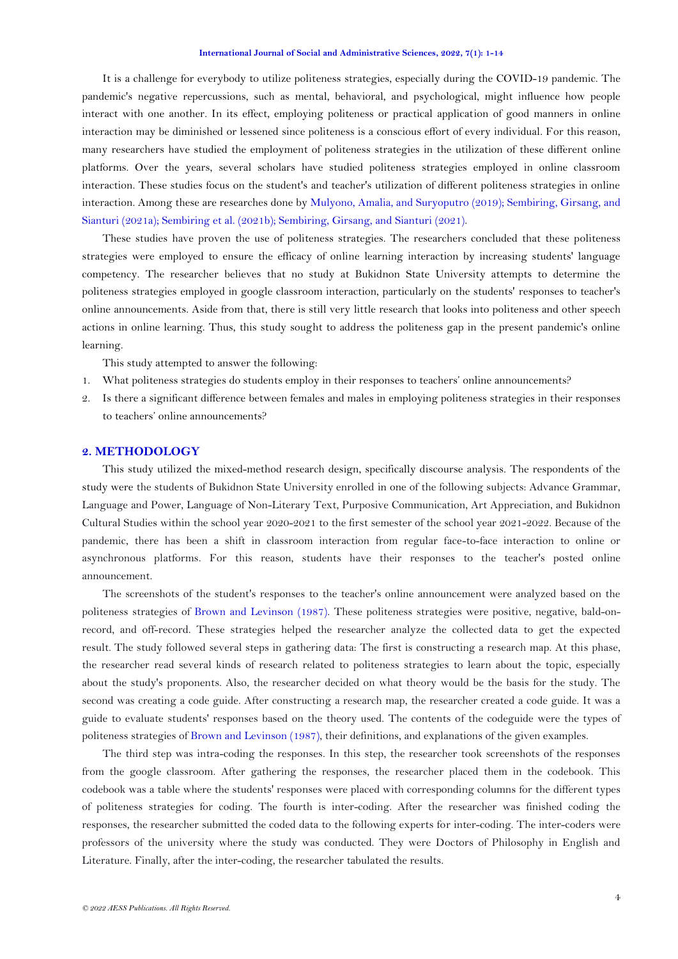It is a challenge for everybody to utilize politeness strategies, especially during the COVID-19 pandemic. The pandemic's negative repercussions, such as mental, behavioral, and psychological, might influence how people interact with one another. In its effect, employing politeness or practical application of good manners in online interaction may be diminished or lessened since politeness is a conscious effort of every individual. For this reason, many researchers have studied the employment of politeness strategies in the utilization of these different online platforms. Over the years, several scholars have studied politeness strategies employed in online classroom interaction. These studies focus on the student's and teacher's utilization of different politeness strategies in online interaction. Among these are researches done by [Mulyono, Amalia, and Suryoputro \(2019\)](#page-12-12); [Sembiring, Girsang, and](#page-12-13)  [Sianturi \(2021a\)](#page-12-13); Sembiring [et al. \(2021b\)](#page-13-2); [Sembiring, Girsang, and Sianturi \(2021\)](#page-12-14).

These studies have proven the use of politeness strategies. The researchers concluded that these politeness strategies were employed to ensure the efficacy of online learning interaction by increasing students' language competency. The researcher believes that no study at Bukidnon State University attempts to determine the politeness strategies employed in google classroom interaction, particularly on the students' responses to teacher's online announcements. Aside from that, there is still very little research that looks into politeness and other speech actions in online learning. Thus, this study sought to address the politeness gap in the present pandemic's online learning.

This study attempted to answer the following:

- 1. What politeness strategies do students employ in their responses to teachers' online announcements?
- 2. Is there a significant difference between females and males in employing politeness strategies in their responses to teachers' online announcements?

## **2. METHODOLOGY**

This study utilized the mixed-method research design, specifically discourse analysis. The respondents of the study were the students of Bukidnon State University enrolled in one of the following subjects: Advance Grammar, Language and Power, Language of Non-Literary Text, Purposive Communication, Art Appreciation, and Bukidnon Cultural Studies within the school year 2020-2021 to the first semester of the school year 2021-2022. Because of the pandemic, there has been a shift in classroom interaction from regular face-to-face interaction to online or asynchronous platforms. For this reason, students have their responses to the teacher's posted online announcement.

The screenshots of the student's responses to the teacher's online announcement were analyzed based on the politeness strategies of [Brown and Levinson \(1987\)](#page-12-0). These politeness strategies were positive, negative, bald-onrecord, and off-record. These strategies helped the researcher analyze the collected data to get the expected result. The study followed several steps in gathering data: The first is constructing a research map. At this phase, the researcher read several kinds of research related to politeness strategies to learn about the topic, especially about the study's proponents. Also, the researcher decided on what theory would be the basis for the study. The second was creating a code guide. After constructing a research map, the researcher created a code guide. It was a guide to evaluate students' responses based on the theory used. The contents of the codeguide were the types of politeness strategies of [Brown and Levinson \(1987\)](#page-12-0), their definitions, and explanations of the given examples.

The third step was intra-coding the responses. In this step, the researcher took screenshots of the responses from the google classroom. After gathering the responses, the researcher placed them in the codebook. This codebook was a table where the students' responses were placed with corresponding columns for the different types of politeness strategies for coding. The fourth is inter-coding. After the researcher was finished coding the responses, the researcher submitted the coded data to the following experts for inter-coding. The inter-coders were professors of the university where the study was conducted. They were Doctors of Philosophy in English and Literature. Finally, after the inter-coding, the researcher tabulated the results.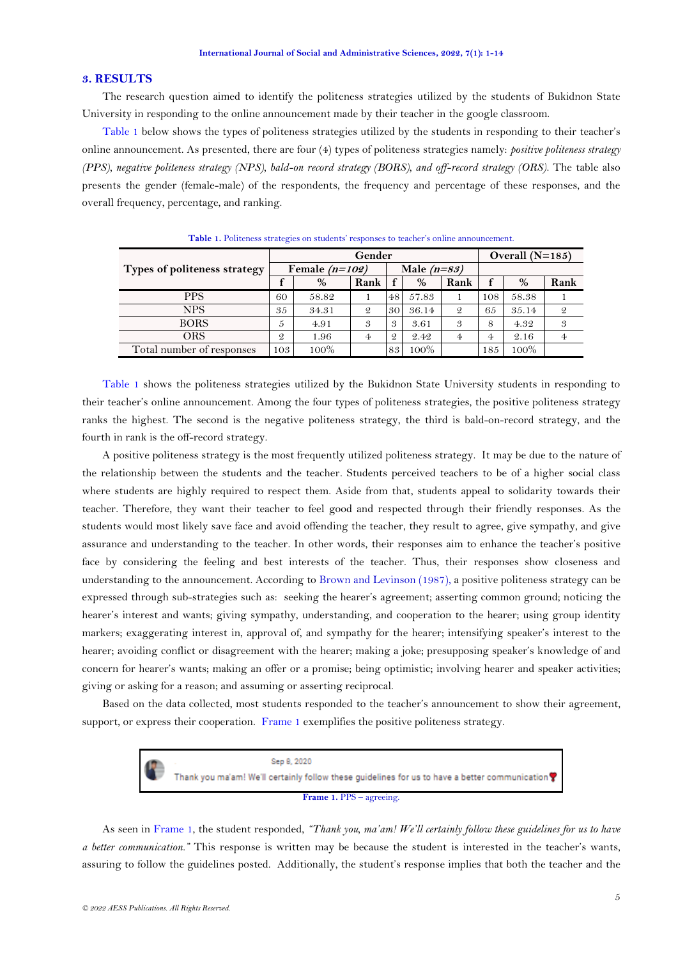### **3. RESULTS**

The research question aimed to identify the politeness strategies utilized by the students of Bukidnon State University in responding to the online announcement made by their teacher in the google classroom.

[Table 1](#page-4-0) below shows the types of politeness strategies utilized by the students in responding to their teacher's online announcement. As presented, there are four (4) types of politeness strategies namely: *positive politeness strategy (PPS), negative politeness strategy (NPS), bald-on record strategy (BORS), and off-record strategy (ORS)*. The table also presents the gender (female-male) of the respondents, the frequency and percentage of these responses, and the overall frequency, percentage, and ranking.

<span id="page-4-0"></span>

|                              | Gender           |       |               |               |       |               | Overall $(N=185)$ |       |               |
|------------------------------|------------------|-------|---------------|---------------|-------|---------------|-------------------|-------|---------------|
| Types of politeness strategy | Female $(n=102)$ |       |               | Male $(n=83)$ |       |               |                   |       |               |
|                              |                  | $\%$  | Rank          |               | $\%$  | Rank          |                   | %     | Rank          |
| <b>PPS</b>                   | 60               | 58.82 |               | 48            | 57.83 |               | 108               | 58.38 |               |
| <b>NPS</b>                   | 35               | 34.31 | $\mathcal{Q}$ | 30            | 36.14 | $\mathcal{Q}$ | 65                | 35.14 | $\mathcal{Q}$ |
| <b>BORS</b>                  | 5                | 4.91  | 3             | 3             | 3.61  | 3             | 8                 | 4.32  | 3             |
| ORS                          | $\mathfrak{D}$   | 1.96  | 4             | $\mathcal{Q}$ | 2.42  | 4             | 4                 | 2.16  | 4             |
| Total number of responses    | 103              | 100%  |               | 83            | 100%  |               | 185               | 100%  |               |

**Table 1.** Politeness strategies on students' responses to teacher's online announcement.

[Table 1](#page-4-0) shows the politeness strategies utilized by the Bukidnon State University students in responding to their teacher's online announcement. Among the four types of politeness strategies, the positive politeness strategy ranks the highest. The second is the negative politeness strategy, the third is bald-on-record strategy, and the fourth in rank is the off-record strategy.

A positive politeness strategy is the most frequently utilized politeness strategy. It may be due to the nature of the relationship between the students and the teacher. Students perceived teachers to be of a higher social class where students are highly required to respect them. Aside from that, students appeal to solidarity towards their teacher. Therefore, they want their teacher to feel good and respected through their friendly responses. As the students would most likely save face and avoid offending the teacher, they result to agree, give sympathy, and give assurance and understanding to the teacher. In other words, their responses aim to enhance the teacher's positive face by considering the feeling and best interests of the teacher. Thus, their responses show closeness and understanding to the announcement. According to [Brown and Levinson \(1987\)](#page-12-0), a positive politeness strategy can be expressed through sub-strategies such as: seeking the hearer's agreement; asserting common ground; noticing the hearer's interest and wants; giving sympathy, understanding, and cooperation to the hearer; using group identity markers; exaggerating interest in, approval of, and sympathy for the hearer; intensifying speaker's interest to the hearer; avoiding conflict or disagreement with the hearer; making a joke; presupposing speaker's knowledge of and concern for hearer's wants; making an offer or a promise; being optimistic; involving hearer and speaker activities; giving or asking for a reason; and assuming or asserting reciprocal.

Based on the data collected, most students responded to the teacher's announcement to show their agreement, support, or express their cooperation. [Frame 1](#page-4-1) exemplifies the positive politeness strategy.



<span id="page-4-1"></span>As seen in [Frame 1,](#page-4-1) the student responded, *"Thank you, ma'am! We'll certainly follow these guidelines for us to have a better communication."* This response is written may be because the student is interested in the teacher's wants, assuring to follow the guidelines posted. Additionally, the student's response implies that both the teacher and the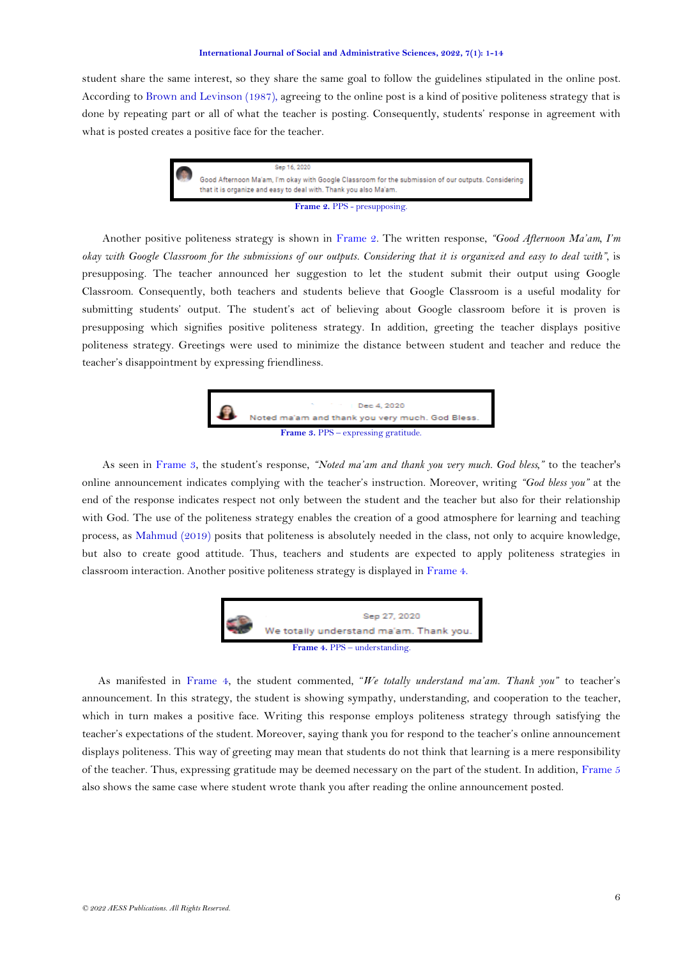student share the same interest, so they share the same goal to follow the guidelines stipulated in the online post. According to [Brown and Levinson \(1987\)](#page-12-0), agreeing to the online post is a kind of positive politeness strategy that is done by repeating part or all of what the teacher is posting. Consequently, students' response in agreement with what is posted creates a positive face for the teacher.



<span id="page-5-0"></span>Another positive politeness strategy is shown in [Frame 2.](#page-5-0) The written response, *"Good Afternoon Ma'am, I'm okay with Google Classroom for the submissions of our outputs. Considering that it is organized and easy to deal with",* is presupposing. The teacher announced her suggestion to let the student submit their output using Google Classroom. Consequently, both teachers and students believe that Google Classroom is a useful modality for submitting students' output. The student's act of believing about Google classroom before it is proven is presupposing which signifies positive politeness strategy. In addition, greeting the teacher displays positive politeness strategy. Greetings were used to minimize the distance between student and teacher and reduce the teacher's disappointment by expressing friendliness.



<span id="page-5-1"></span>As seen in [Frame 3,](#page-5-1) the student's response, *"Noted ma'am and thank you very much. God bless,"* to the teacher's online announcement indicates complying with the teacher's instruction. Moreover, writing *"God bless you"* at the end of the response indicates respect not only between the student and the teacher but also for their relationship with God. The use of the politeness strategy enables the creation of a good atmosphere for learning and teaching process, as [Mahmud \(2019\)](#page-12-15) posits that politeness is absolutely needed in the class, not only to acquire knowledge, but also to create good attitude. Thus, teachers and students are expected to apply politeness strategies in classroom interaction. Another positive politeness strategy is displayed i[n Frame 4.](#page-5-2)



<span id="page-5-2"></span>As manifested in Frame 4, the student commented, "*We totally understand ma'am. Thank you"* to teacher's announcement. In this strategy, the student is showing sympathy, understanding, and cooperation to the teacher, which in turn makes a positive face. Writing this response employs politeness strategy through satisfying the teacher's expectations of the student. Moreover, saying thank you for respond to the teacher's online announcement displays politeness. This way of greeting may mean that students do not think that learning is a mere responsibility of the teacher. Thus, expressing gratitude may be deemed necessary on the part of the student. In addition, [Frame 5](#page-6-0) also shows the same case where student wrote thank you after reading the online announcement posted.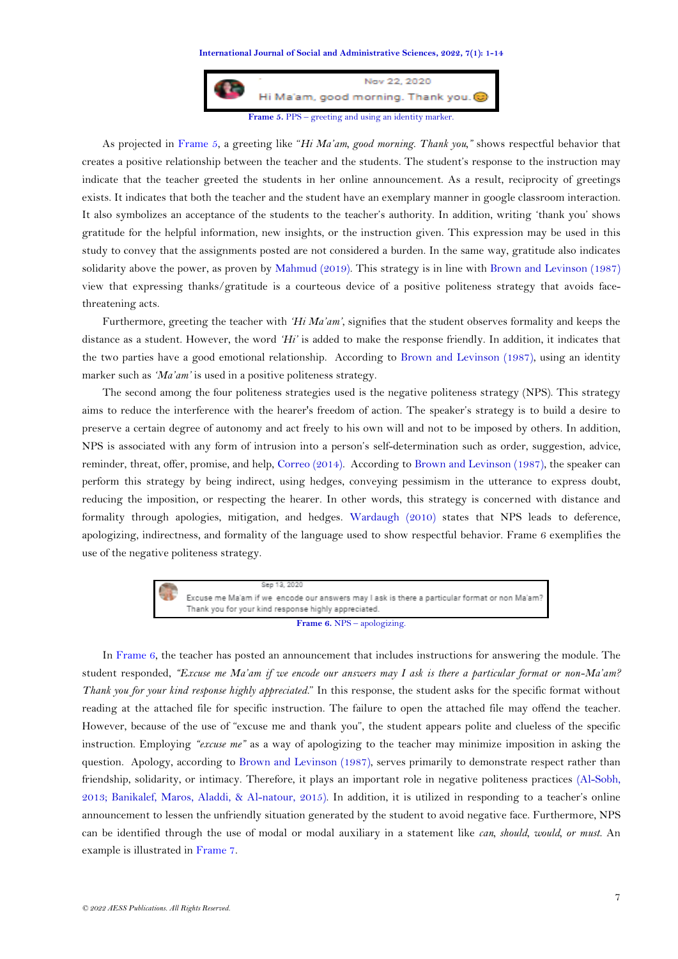

<span id="page-6-0"></span>As projected in [Frame 5,](#page-6-0) a greeting like "*Hi Ma'am, good morning. Thank you,"* shows respectful behavior that creates a positive relationship between the teacher and the students. The student's response to the instruction may indicate that the teacher greeted the students in her online announcement. As a result, reciprocity of greetings exists. It indicates that both the teacher and the student have an exemplary manner in google classroom interaction. It also symbolizes an acceptance of the students to the teacher's authority. In addition, writing 'thank you' shows gratitude for the helpful information, new insights, or the instruction given. This expression may be used in this study to convey that the assignments posted are not considered a burden. In the same way, gratitude also indicates solidarity above the power, as proven by [Mahmud](#page-12-15) (2019). This strategy is in line with [Brown and Levinson \(1987\)](#page-12-0) view that expressing thanks/gratitude is a courteous device of a positive politeness strategy that avoids facethreatening acts.

Furthermore, greeting the teacher with *'Hi Ma'am'*, signifies that the student observes formality and keeps the distance as a student. However, the word *'Hi'* is added to make the response friendly. In addition, it indicates that the two parties have a good emotional relationship. According to [Brown and Levinson \(1987\)](#page-12-0), using an identity marker such as *'Ma'am'* is used in a positive politeness strategy.

The second among the four politeness strategies used is the negative politeness strategy (NPS). This strategy aims to reduce the interference with the hearer's freedom of action. The speaker's strategy is to build a desire to preserve a certain degree of autonomy and act freely to his own will and not to be imposed by others. In addition, NPS is associated with any form of intrusion into a person's self-determination such as order, suggestion, advice, reminder, threat, offer, promise, and help, [Correo \(2014\)](#page-12-8). According to [Brown and Levinson \(1987\)](#page-12-0), the speaker can perform this strategy by being indirect, using hedges, conveying pessimism in the utterance to express doubt, reducing the imposition, or respecting the hearer. In other words, this strategy is concerned with distance and formality through apologies, mitigation, and hedges. [Wardaugh \(2010\)](#page-13-4) states that NPS leads to deference, apologizing, indirectness, and formality of the language used to show respectful behavior. Frame 6 exemplifies the use of the negative politeness strategy.



<span id="page-6-1"></span>In [Frame 6,](#page-6-1) the teacher has posted an announcement that includes instructions for answering the module. The student responded, *"Excuse me Ma'am if we encode our answers may I ask is there a particular format or non-Ma'am? Thank you for your kind response highly appreciated.*" In this response, the student asks for the specific format without reading at the attached file for specific instruction. The failure to open the attached file may offend the teacher. However, because of the use of "excuse me and thank you", the student appears polite and clueless of the specific instruction. Employing *"excuse me"* as a way of apologizing to the teacher may minimize imposition in asking the question. Apology, according to [Brown and Levinson \(1987\)](#page-12-0), serves primarily to demonstrate respect rather than friendship, solidarity, or intimacy. Therefore, it plays an important role in negative politeness practices [\(Al-Sobh,](#page-11-0)  [2013;](#page-11-0) [Banikalef, Maros, Aladdi, & Al-natour, 2015\)](#page-12-16). In addition, it is utilized in responding to a teacher's online announcement to lessen the unfriendly situation generated by the student to avoid negative face. Furthermore, NPS can be identified through the use of modal or modal auxiliary in a statement like *can, should, would, or must*. An example is illustrated in [Frame 7.](#page-7-0)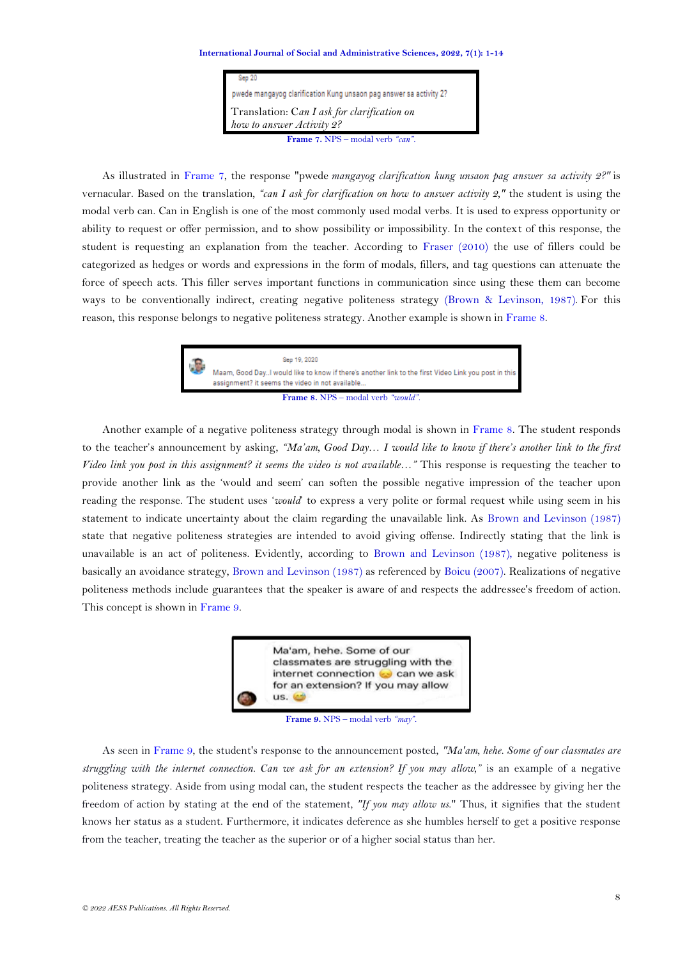| Sep 20                                                                   |  |  |  |
|--------------------------------------------------------------------------|--|--|--|
| pwede mangayog clarification Kung unsaon pag answer sa activity 2?       |  |  |  |
| Translation: Can I ask for clarification on<br>how to answer Activity 2? |  |  |  |
| Frame 7. NPS - modal verb "can".                                         |  |  |  |

<span id="page-7-0"></span>As illustrated in [Frame 7,](#page-7-0) the response "pwede *mangayog clarification kung unsaon pag answer sa activity 2?"* is vernacular. Based on the translation*, "can I ask for clarification on how to answer activity 2,"* the student is using the modal verb can. Can in English is one of the most commonly used modal verbs. It is used to express opportunity or ability to request or offer permission, and to show possibility or impossibility. In the context of this response, the student is requesting an explanation from the teacher. According to [Fraser \(2010\)](#page-12-17) the use of fillers could be categorized as hedges or words and expressions in the form of modals, fillers, and tag questions can attenuate the force of speech acts. This filler serves important functions in communication since using these them can become ways to be conventionally indirect, creating negative politeness strategy [\(Brown & Levinson, 1987\)](#page-12-0). For this reason, this response belongs to negative politeness strategy. Another example is shown in [Frame](#page-7-1) 8.



**Frame 8.** NPS – modal verb *"would".*

<span id="page-7-1"></span>Another example of a negative politeness strategy through modal is shown in [Frame 8.](#page-7-1) The student responds to the teacher's announcement by asking, *"Ma'am, Good Day… I would like to know if there's another link to the first Video link you post in this assignment? it seems the video is not available…"* This response is requesting the teacher to provide another link as the 'would and seem' can soften the possible negative impression of the teacher upon reading the response. The student uses '*would*' to express a very polite or formal request while using seem in his statement to indicate uncertainty about the claim regarding the unavailable link. As [Brown and Levinson \(1987\)](#page-12-0) state that negative politeness strategies are intended to avoid giving offense. Indirectly stating that the link is unavailable is an act of politeness. Evidently, according to [Brown and Levinson \(1987\)](#page-11-0), negative politeness is basically an avoidance strategy, Brown [and Levinson \(1987\)](#page-12-0) as referenced by [Boicu \(2007\)](#page-12-18). Realizations of negative politeness methods include guarantees that the speaker is aware of and respects the addressee's freedom of action. This concept is shown in [Frame 9.](#page-7-2)



**Frame 9.** NPS – modal verb *"may".*

<span id="page-7-2"></span>As seen in [Frame 9,](#page-7-2) the student's response to the announcement posted, *"Ma'am, hehe. Some of our classmates are struggling with the internet connection. Can we ask for an extension? If you may allow,"* is an example of a negative politeness strategy. Aside from using modal can*,* the student respects the teacher as the addressee by giving her the freedom of action by stating at the end of the statement*, "If you may allow us*." Thus, it signifies that the student knows her status as a student. Furthermore, it indicates deference as she humbles herself to get a positive response from the teacher, treating the teacher as the superior or of a higher social status than her.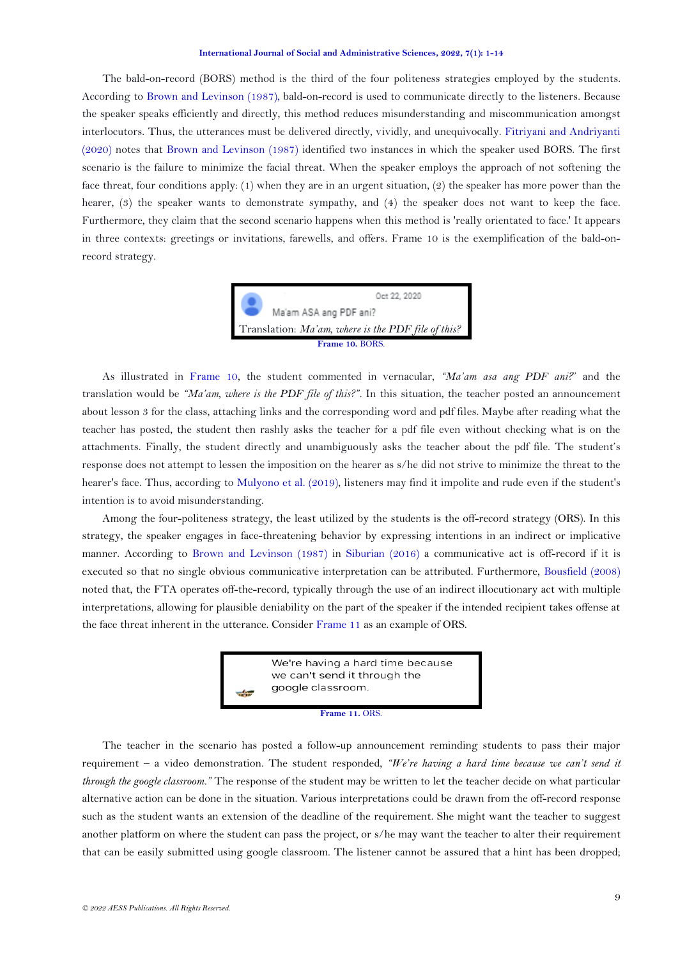The bald-on-record (BORS) method is the third of the four politeness strategies employed by the students. According to [Brown and Levinson \(1987\)](#page-12-0), bald-on-record is used to communicate directly to the listeners. Because the speaker speaks efficiently and directly, this method reduces misunderstanding and miscommunication amongst interlocutors. Thus, the utterances must be delivered directly, vividly, and unequivocally. [Fitriyani and Andriyanti](#page-12-19)  [\(2020\)](#page-12-19) notes that [Brown and Levinson \(1987\)](#page-12-0) identified two instances in which the speaker used BORS. The first scenario is the failure to minimize the facial threat. When the speaker employs the approach of not softening the face threat, four conditions apply: (1) when they are in an urgent situation, (2) the speaker has more power than the hearer, (3) the speaker wants to demonstrate sympathy, and (4) the speaker does not want to keep the face. Furthermore, they claim that the second scenario happens when this method is 'really orientated to face.' It appears in three contexts: greetings or invitations, farewells, and offers. Frame 10 is the exemplification of the bald-onrecord strategy.



As illustrated in [Frame 10,](#page-7-1) the student commented in vernacular, *"Ma'am asa ang PDF ani?*" and the translation would be *"Ma'am, where is the PDF file of this?".* In this situation, the teacher posted an announcement about lesson 3 for the class, attaching links and the corresponding word and pdf files. Maybe after reading what the teacher has posted, the student then rashly asks the teacher for a pdf file even without checking what is on the attachments. Finally, the student directly and unambiguously asks the teacher about the pdf file. The student's response does not attempt to lessen the imposition on the hearer as s/he did not strive to minimize the threat to the hearer's face. Thus, according to [Mulyono et al. \(2019\)](#page-12-12), listeners may find it impolite and rude even if the student's intention is to avoid misunderstanding.

Among the four-politeness strategy, the least utilized by the students is the off-record strategy (ORS). In this strategy, the speaker engages in face-threatening behavior by expressing intentions in an indirect or implicative manner. According to [Brown and Levinson \(1987\)](#page-12-0) in [Siburian \(2016\)](#page-13-5) a communicative act is off-record if it is executed so that no single obvious communicative interpretation can be attributed. Furthermore, [Bousfield \(2008\)](#page-12-10) noted that, the FTA operates off-the-record, typically through the use of an indirect illocutionary act with multiple interpretations, allowing for plausible deniability on the part of the speaker if the intended recipient takes offense at the face threat inherent in the utterance. Conside[r Frame 11](#page-8-0) as an example of ORS.

> We're having a hard time because we can't send it through the google classroom.

### **Frame 11.** ORS.

<span id="page-8-0"></span>The teacher in the scenario has posted a follow-up announcement reminding students to pass their major requirement – a video demonstration. The student responded, *"We're having a hard time because we can't send it through the google classroom."* The response of the student may be written to let the teacher decide on what particular alternative action can be done in the situation. Various interpretations could be drawn from the off-record response such as the student wants an extension of the deadline of the requirement. She might want the teacher to suggest another platform on where the student can pass the project, or s/he may want the teacher to alter their requirement that can be easily submitted using google classroom. The listener cannot be assured that a hint has been dropped;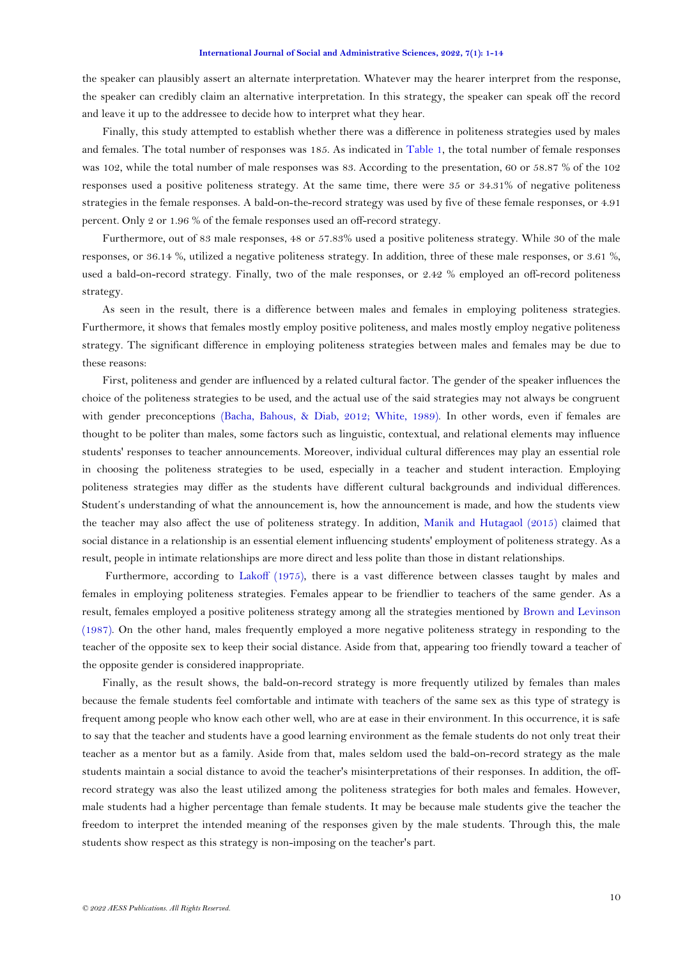the speaker can plausibly assert an alternate interpretation. Whatever may the hearer interpret from the response, the speaker can credibly claim an alternative interpretation. In this strategy, the speaker can speak off the record and leave it up to the addressee to decide how to interpret what they hear.

Finally, this study attempted to establish whether there was a difference in politeness strategies used by males and females. The total number of responses was 185. As indicated in [Table 1,](#page-4-0) the total number of female responses was 102, while the total number of male responses was 83. According to the presentation, 60 or 58.87 % of the 102 responses used a positive politeness strategy. At the same time, there were 35 or 34.31% of negative politeness strategies in the female responses. A bald-on-the-record strategy was used by five of these female responses, or 4.91 percent. Only 2 or 1.96 % of the female responses used an off-record strategy.

Furthermore, out of 83 male responses, 48 or 57.83% used a positive politeness strategy. While 30 of the male responses, or 36.14 %, utilized a negative politeness strategy. In addition, three of these male responses, or 3.61 %, used a bald-on-record strategy. Finally, two of the male responses, or 2.42 % employed an off-record politeness strategy.

As seen in the result, there is a difference between males and females in employing politeness strategies. Furthermore, it shows that females mostly employ positive politeness, and males mostly employ negative politeness strategy. The significant difference in employing politeness strategies between males and females may be due to these reasons:

First, politeness and gender are influenced by a related cultural factor. The gender of the speaker influences the choice of the politeness strategies to be used, and the actual use of the said strategies may not always be congruent with gender preconceptions [\(Bacha, Bahous, & Diab, 2012;](#page-12-20) [White, 1989\)](#page-13-6). In other words, even if females are thought to be politer than males, some factors such as linguistic, contextual, and relational elements may influence students' responses to teacher announcements. Moreover, individual cultural differences may play an essential role in choosing the politeness strategies to be used, especially in a teacher and student interaction. Employing politeness strategies may differ as the students have different cultural backgrounds and individual differences. Student's understanding of what the announcement is, how the announcement is made, and how the students view the teacher may also affect the use of politeness strategy. In addition, [Manik and Hutagaol \(2015\)](#page-12-21) claimed that social distance in a relationship is an essential element influencing students' employment of politeness strategy. As a result, people in intimate relationships are more direct and less polite than those in distant relationships.

Furthermore, according to [Lakoff \(1975\)](#page-12-1), there is a vast difference between classes taught by males and females in employing politeness strategies. Females appear to be friendlier to teachers of the same gender. As a result, females employed a positive politeness strategy among all the strategies mentioned by [Brown and Levinson](#page-12-0)  [\(1987\)](#page-12-0). On the other hand, males frequently employed a more negative politeness strategy in responding to the teacher of the opposite sex to keep their social distance. Aside from that, appearing too friendly toward a teacher of the opposite gender is considered inappropriate.

Finally, as the result shows, the bald-on-record strategy is more frequently utilized by females than males because the female students feel comfortable and intimate with teachers of the same sex as this type of strategy is frequent among people who know each other well, who are at ease in their environment. In this occurrence, it is safe to say that the teacher and students have a good learning environment as the female students do not only treat their teacher as a mentor but as a family. Aside from that, males seldom used the bald-on-record strategy as the male students maintain a social distance to avoid the teacher's misinterpretations of their responses. In addition, the offrecord strategy was also the least utilized among the politeness strategies for both males and females. However, male students had a higher percentage than female students. It may be because male students give the teacher the freedom to interpret the intended meaning of the responses given by the male students. Through this, the male students show respect as this strategy is non-imposing on the teacher's part.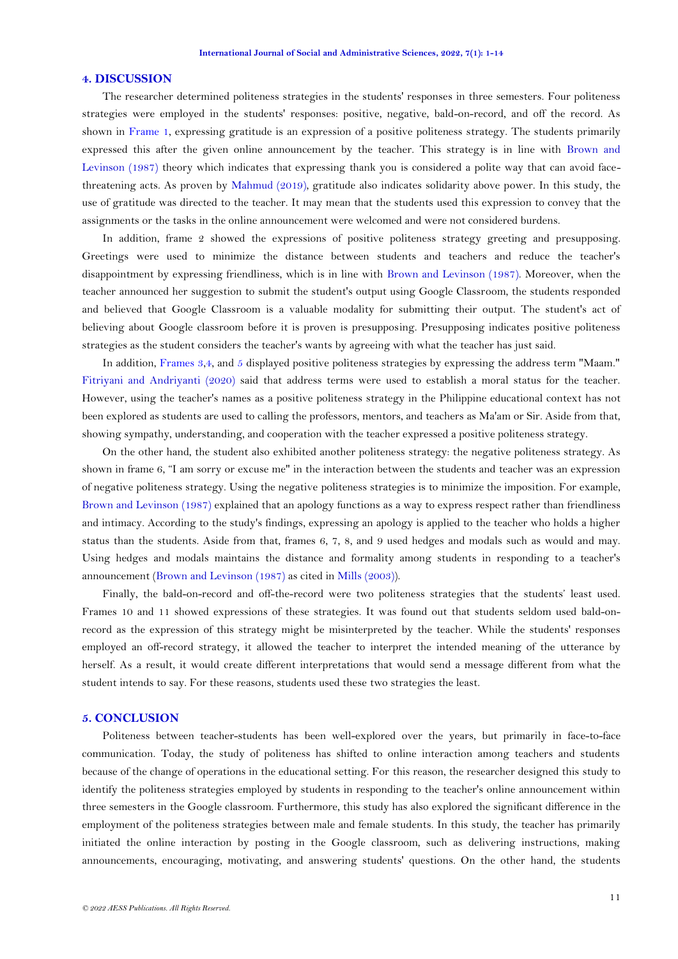### **4. DISCUSSION**

The researcher determined politeness strategies in the students' responses in three semesters. Four politeness strategies were employed in the students' responses: positive, negative, bald-on-record, and off the record. As shown in [Frame 1,](#page-4-1) expressing gratitude is an expression of a positive politeness strategy. The students primarily expressed this after the given online announcement by the teacher. This strategy is in line with [Brown and](#page-12-0)  [Levinson \(1987\)](#page-12-0) theory which indicates that expressing thank you is considered a polite way that can avoid facethreatening acts. As proven by [Mahmud \(2019\)](#page-12-15), gratitude also indicates solidarity above power. In this study, the use of gratitude was directed to the teacher. It may mean that the students used this expression to convey that the assignments or the tasks in the online announcement were welcomed and were not considered burdens.

In addition, frame 2 showed the expressions of positive politeness strategy greeting and presupposing. Greetings were used to minimize the distance between students and teachers and reduce the teacher's disappointment by expressing friendliness, which is in line with [Brown and Levinson \(1987\)](#page-12-0). Moreover, when the teacher announced her suggestion to submit the student's output using Google Classroom, the students responded and believed that Google Classroom is a valuable modality for submitting their output. The student's act of believing about Google classroom before it is proven is presupposing. Presupposing indicates positive politeness strategies as the student considers the teacher's wants by agreeing with what the teacher has just said.

In addition, [Frames 3,](#page-5-1)[4,](#page-5-2) and [5](#page-6-0) displayed positive politeness strategies by expressing the address term "Maam." [Fitriyani and Andriyanti \(2020\)](#page-12-19) said that address terms were used to establish a moral status for the teacher. However, using the teacher's names as a positive politeness strategy in the Philippine educational context has not been explored as students are used to calling the professors, mentors, and teachers as Ma'am or Sir. Aside from that, showing sympathy, understanding, and cooperation with the teacher expressed a positive politeness strategy.

On the other hand, the student also exhibited another politeness strategy: the negative politeness strategy. As shown in frame 6, "I am sorry or excuse me" in the interaction between the students and teacher was an expression of negative politeness strategy. Using the negative politeness strategies is to minimize the imposition. For example, [Brown and Levinson \(1987\)](#page-12-0) explained that an apology functions as a way to express respect rather than friendliness and intimacy. According to the study's findings, expressing an apology is applied to the teacher who holds a higher status than the students. Aside from that, frames 6, 7, 8, and 9 used hedges and modals such as would and may. Using hedges and modals maintains the distance and formality among students in responding to a teacher's announcement [\(Brown and Levinson](#page-12-0) (1987) as cited in [Mills \(2003\)](#page-12-22)).

Finally, the bald-on-record and off-the-record were two politeness strategies that the students' least used. Frames 10 and 11 showed expressions of these strategies. It was found out that students seldom used bald-onrecord as the expression of this strategy might be misinterpreted by the teacher. While the students' responses employed an off-record strategy, it allowed the teacher to interpret the intended meaning of the utterance by herself. As a result, it would create different interpretations that would send a message different from what the student intends to say. For these reasons, students used these two strategies the least.

## **5. CONCLUSION**

Politeness between teacher-students has been well-explored over the years, but primarily in face-to-face communication. Today, the study of politeness has shifted to online interaction among teachers and students because of the change of operations in the educational setting. For this reason, the researcher designed this study to identify the politeness strategies employed by students in responding to the teacher's online announcement within three semesters in the Google classroom. Furthermore, this study has also explored the significant difference in the employment of the politeness strategies between male and female students. In this study, the teacher has primarily initiated the online interaction by posting in the Google classroom, such as delivering instructions, making announcements, encouraging, motivating, and answering students' questions. On the other hand, the students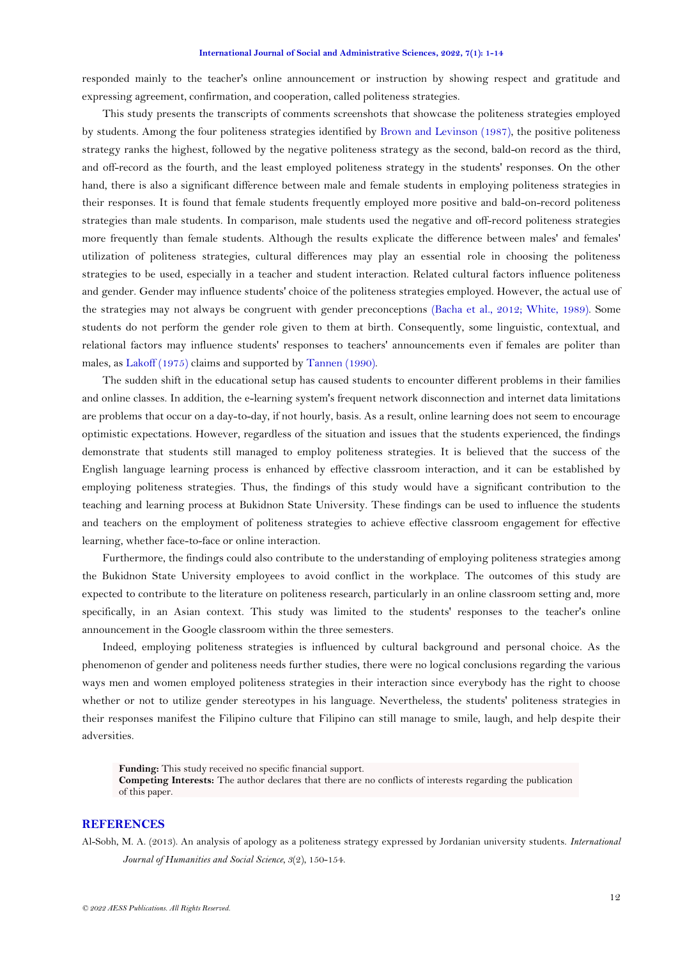responded mainly to the teacher's online announcement or instruction by showing respect and gratitude and expressing agreement, confirmation, and cooperation, called politeness strategies.

This study presents the transcripts of comments screenshots that showcase the politeness strategies employed by students. Among the four politeness strategies identified by [Brown and Levinson \(1987\)](#page-12-0), the positive politeness strategy ranks the highest, followed by the negative politeness strategy as the second, bald-on record as the third, and off-record as the fourth, and the least employed politeness strategy in the students' responses. On the other hand, there is also a significant difference between male and female students in employing politeness strategies in their responses. It is found that female students frequently employed more positive and bald-on-record politeness strategies than male students. In comparison, male students used the negative and off-record politeness strategies more frequently than female students. Although the results explicate the difference between males' and females' utilization of politeness strategies, cultural differences may play an essential role in choosing the politeness strategies to be used, especially in a teacher and student interaction. Related cultural factors influence politeness and gender. Gender may influence students' choice of the politeness strategies employed. However, the actual use of the strategies may not always be congruent with gender preconceptions [\(Bacha et al., 2012;](#page-12-20) [White, 1989\)](#page-13-6). Some students do not perform the gender role given to them at birth. Consequently, some linguistic, contextual, and relational factors may influence students' responses to teachers' announcements even if females are politer than males, a[s Lakoff \(1975\)](#page-12-1) claims and supported by [Tannen \(1990\)](#page-13-1).

The sudden shift in the educational setup has caused students to encounter different problems in their families and online classes. In addition, the e-learning system's frequent network disconnection and internet data limitations are problems that occur on a day-to-day, if not hourly, basis. As a result, online learning does not seem to encourage optimistic expectations. However, regardless of the situation and issues that the students experienced, the findings demonstrate that students still managed to employ politeness strategies. It is believed that the success of the English language learning process is enhanced by effective classroom interaction, and it can be established by employing politeness strategies. Thus, the findings of this study would have a significant contribution to the teaching and learning process at Bukidnon State University. These findings can be used to influence the students and teachers on the employment of politeness strategies to achieve effective classroom engagement for effective learning, whether face-to-face or online interaction.

Furthermore, the findings could also contribute to the understanding of employing politeness strategies among the Bukidnon State University employees to avoid conflict in the workplace. The outcomes of this study are expected to contribute to the literature on politeness research, particularly in an online classroom setting and, more specifically, in an Asian context. This study was limited to the students' responses to the teacher's online announcement in the Google classroom within the three semesters.

Indeed, employing politeness strategies is influenced by cultural background and personal choice. As the phenomenon of gender and politeness needs further studies, there were no logical conclusions regarding the various ways men and women employed politeness strategies in their interaction since everybody has the right to choose whether or not to utilize gender stereotypes in his language. Nevertheless, the students' politeness strategies in their responses manifest the Filipino culture that Filipino can still manage to smile, laugh, and help despite their adversities.

**Funding:** This study received no specific financial support. **Competing Interests:** The author declares that there are no conflicts of interests regarding the publication of this paper.

## **REFERENCES**

<span id="page-11-0"></span>Al-Sobh, M. A. (2013). An analysis of apology as a politeness strategy expressed by Jordanian university students. *International Journal of Humanities and Social Science, 3*(2), 150-154.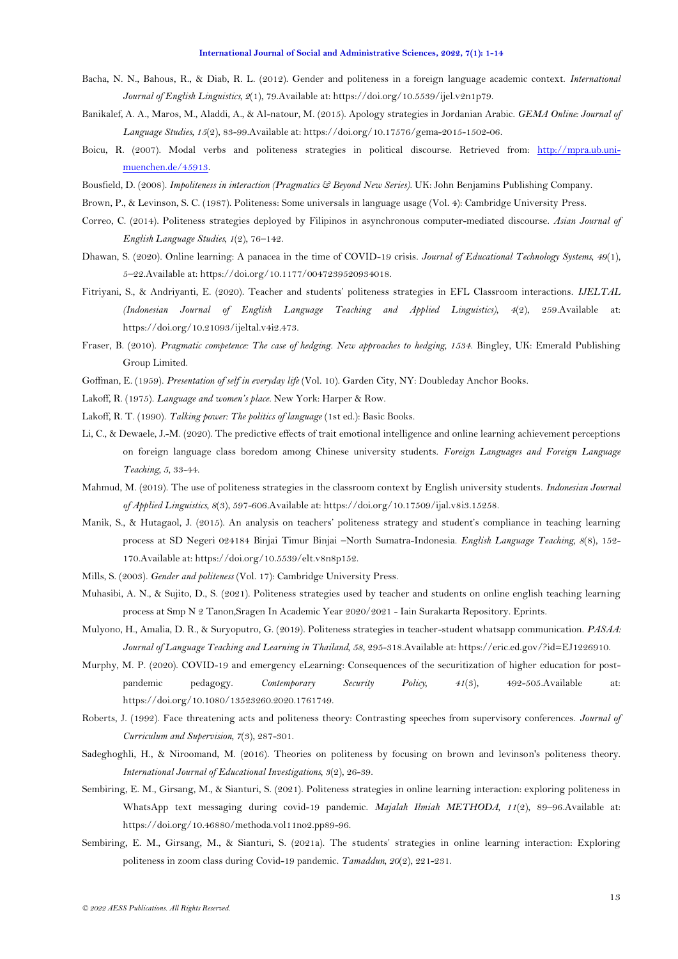- <span id="page-12-20"></span>Bacha, N. N., Bahous, R., & Diab, R. L. (2012). Gender and politeness in a foreign language academic context. *International Journal of English Linguistics, 2*(1), 79.Available at: https://doi.org/10.5539/ijel.v2n1p79.
- <span id="page-12-16"></span>Banikalef, A. A., Maros, M., Aladdi, A., & Al-natour, M. (2015). Apology strategies in Jordanian Arabic. *GEMA Online: Journal of Language Studies, 15*(2), 83-99.Available at: https://doi.org/10.17576/gema-2015-1502-06.
- <span id="page-12-18"></span>Boicu, R. (2007). Modal verbs and politeness strategies in political discourse. Retrieved from: [http://mpra.ub.uni](http://mpra.ub.uni-muenchen.de/45913)[muenchen.de/45913.](http://mpra.ub.uni-muenchen.de/45913)
- <span id="page-12-10"></span>Bousfield, D. (2008). *Impoliteness in interaction (Pragmatics & Beyond New Series)*. UK: John Benjamins Publishing Company.
- <span id="page-12-0"></span>Brown, P., & Levinson, S. C. (1987). Politeness: Some universals in language usage (Vol. 4): Cambridge University Press.
- <span id="page-12-8"></span>Correo, C. (2014). Politeness strategies deployed by Filipinos in asynchronous computer-mediated discourse. *Asian Journal of English Language Studies, 1*(2), 76–142.
- <span id="page-12-4"></span>Dhawan, S. (2020). Online learning: A panacea in the time of COVID-19 crisis. *Journal of Educational Technology Systems, 49*(1), 5–22.Available at: https://doi.org/10.1177/0047239520934018.
- <span id="page-12-19"></span>Fitriyani, S., & Andriyanti, E. (2020). Teacher and students' politeness strategies in EFL Classroom interactions. *IJELTAL (Indonesian Journal of English Language Teaching and Applied Linguistics), 4*(2), 259.Available at: https://doi.org/10.21093/ijeltal.v4i2.473.
- <span id="page-12-17"></span>Fraser, B. (2010). *Pragmatic competence: The case of hedging. New approaches to hedging, 1534*. Bingley, UK: Emerald Publishing Group Limited.
- <span id="page-12-6"></span>Goffman, E. (1959). *Presentation of self in everyday life* (Vol. 10). Garden City, NY: Doubleday Anchor Books.
- <span id="page-12-1"></span>Lakoff, R. (1975). *Language and women's place*. New York: Harper & Row.
- <span id="page-12-2"></span>Lakoff, R. T. (1990). *Talking power: The politics of language* (1st ed.): Basic Books.
- <span id="page-12-5"></span>Li, C., & Dewaele, J.-M. (2020). The predictive effects of trait emotional intelligence and online learning achievement perceptions on foreign language class boredom among Chinese university students. *Foreign Languages and Foreign Language Teaching, 5*, 33-44.
- <span id="page-12-15"></span>Mahmud, M. (2019). The use of politeness strategies in the classroom context by English university students. *Indonesian Journal of Applied Linguistics, 8*(3), 597-606.Available at: https://doi.org/10.17509/ijal.v8i3.15258.
- <span id="page-12-21"></span>Manik, S., & Hutagaol, J. (2015). An analysis on teachers' politeness strategy and student's compliance in teaching learning process at SD Negeri 024184 Binjai Timur Binjai –North Sumatra-Indonesia. *English Language Teaching, 8*(8), 152- 170.Available at: https://doi.org/10.5539/elt.v8n8p152.
- <span id="page-12-22"></span>Mills, S. (2003). *Gender and politeness* (Vol. 17): Cambridge University Press.
- <span id="page-12-9"></span>Muhasibi, A. N., & Sujito, D., S. (2021). Politeness strategies used by teacher and students on online english teaching learning process at Smp N 2 Tanon,Sragen In Academic Year 2020/2021 - Iain Surakarta Repository. Eprints.
- <span id="page-12-12"></span>Mulyono, H., Amalia, D. R., & Suryoputro, G. (2019). Politeness strategies in teacher-student whatsapp communication. *PASAA: Journal of Language Teaching and Learning in Thailand, 58*, 295-318.Available at: https://eric.ed.gov/?id=EJ1226910.
- <span id="page-12-3"></span>Murphy, M. P. (2020). COVID-19 and emergency eLearning: Consequences of the securitization of higher education for postpandemic pedagogy. *Contemporary Security Policy, 41*(3), 492-505.Available at: https://doi.org/10.1080/13523260.2020.1761749.
- <span id="page-12-7"></span>Roberts, J. (1992). Face threatening acts and politeness theory: Contrasting speeches from supervisory conferences. *Journal of Curriculum and Supervision, 7*(3), 287-301.
- <span id="page-12-11"></span>Sadeghoghli, H., & Niroomand, M. (2016). Theories on politeness by focusing on brown and levinson's politeness theory. *International Journal of Educational Investigations, 3*(2), 26-39.
- <span id="page-12-14"></span>Sembiring, E. M., Girsang, M., & Sianturi, S. (2021). Politeness strategies in online learning interaction: exploring politeness in WhatsApp text messaging during covid-19 pandemic. *Majalah Ilmiah METHODA, 11*(2), 89–96.Available at: https://doi.org/10.46880/methoda.vol11no2.pp89-96.
- <span id="page-12-13"></span>Sembiring, E. M., Girsang, M., & Sianturi, S. (2021a). The students' strategies in online learning interaction: Exploring politeness in zoom class during Covid-19 pandemic. *Tamaddun, 20*(2), 221-231.